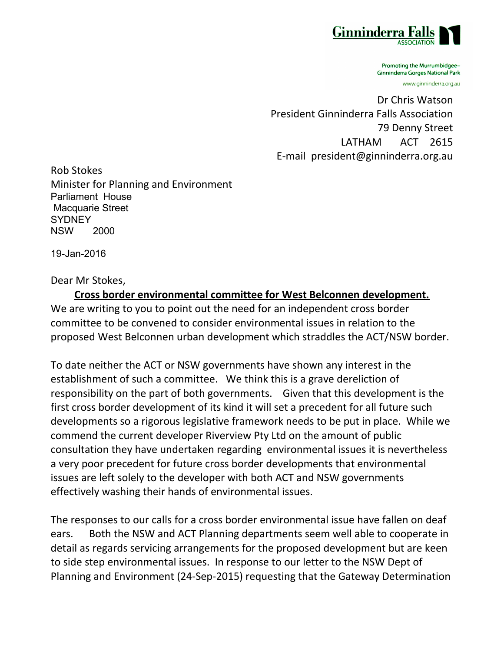

Promoting the Murrumbidgee-**Ginninderra Gorges National Park** 

www.ginninderra.org.au

Dr Chris Watson President Ginninderra Falls Association 79 Denny Street LATHAM ACT 2615 E-mail president@ginninderra.org.au

Rob Stokes Minister for Planning and Environment Parliament House Macquarie Street **SYDNEY** NSW 2000

19-Jan-2016

Dear Mr Stokes,

**Cross border environmental committee for West Belconnen development.** We are writing to you to point out the need for an independent cross border committee to be convened to consider environmental issues in relation to the proposed West Belconnen urban development which straddles the ACT/NSW border.

To date neither the ACT or NSW governments have shown any interest in the establishment of such a committee. We think this is a grave dereliction of responsibility on the part of both governments. Given that this development is the first cross border development of its kind it will set a precedent for all future such developments so a rigorous legislative framework needs to be put in place. While we commend the current developer Riverview Pty Ltd on the amount of public consultation they have undertaken regarding environmental issues it is nevertheless a very poor precedent for future cross border developments that environmental issues are left solely to the developer with both ACT and NSW governments effectively washing their hands of environmental issues.

The responses to our calls for a cross border environmental issue have fallen on deaf ears. Both the NSW and ACT Planning departments seem well able to cooperate in detail as regards servicing arrangements for the proposed development but are keen to side step environmental issues. In response to our letter to the NSW Dept of Planning and Environment (24-Sep-2015) requesting that the Gateway Determination